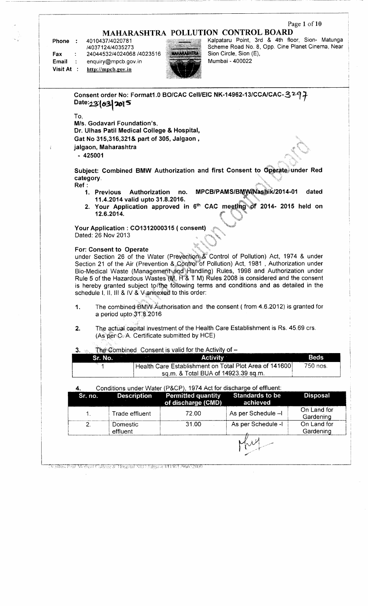## **Page 1 of 10**

# **MAHARASHTRA POLLUTION CONTROL BOARD**

**Phone** : 4010437/4020781 /4037124/4035273 Fax : 24044532/4024068/4023516 **Email** : enquiry@mpcb.gov.in **Visit At : http://mpcb.gov.in**

Drinlias Polit Medical College & Hospital SRO Jälgarn ELI/R/L796672000



Kalpataru Point, 3rd & 4th floor, Sion- Matunga Scheme Road No. 8, Opp. Cine Planet Cinema, Near Sion Circle, Sion (E), Mumbai - 400022

|           | Date:23(03)2015                                                            |                                     | Consent order No: Format1.0 BO/CAC Cell/EIC NK-14962-13/CCA/CAC-3297                     |                 |  |  |  |
|-----------|----------------------------------------------------------------------------|-------------------------------------|------------------------------------------------------------------------------------------|-----------------|--|--|--|
| To,       |                                                                            |                                     |                                                                                          |                 |  |  |  |
|           | M/s. Godavari Foundation's,                                                |                                     |                                                                                          |                 |  |  |  |
|           | Dr. Ulhas Patil Medical College & Hospital,                                |                                     |                                                                                          |                 |  |  |  |
|           | Gat No 315,316,321& part of 305, Jalgaon,                                  |                                     |                                                                                          |                 |  |  |  |
|           | jalgaon, Maharashtra                                                       |                                     |                                                                                          |                 |  |  |  |
| $-425001$ |                                                                            |                                     |                                                                                          |                 |  |  |  |
|           |                                                                            |                                     |                                                                                          |                 |  |  |  |
|           |                                                                            |                                     | Subject: Combined BMW Authorization and first Consent to Operate under Red               |                 |  |  |  |
| category. |                                                                            |                                     |                                                                                          |                 |  |  |  |
| Ref:      |                                                                            |                                     | MPCB/PAMS/BMW/Nashik/2014-01                                                             | dated           |  |  |  |
|           | Authorization<br>1. Previous<br>11.4.2014 valid upto 31.8.2016.            | no.                                 |                                                                                          |                 |  |  |  |
|           |                                                                            |                                     | 2. Your Application approved in 6th CAC meeting of 2014- 2015 held on                    |                 |  |  |  |
|           | 12.6.2014.                                                                 |                                     |                                                                                          |                 |  |  |  |
|           |                                                                            |                                     |                                                                                          |                 |  |  |  |
|           | Your Application: CO1312000315 (consent)                                   |                                     |                                                                                          |                 |  |  |  |
|           | Dated: 26 Nov 2013                                                         |                                     |                                                                                          |                 |  |  |  |
|           | For: Consent to Operate                                                    |                                     |                                                                                          |                 |  |  |  |
|           |                                                                            |                                     | under Section 26 of the Water (Prevention & Control of Pollution) Act, 1974 & under      |                 |  |  |  |
|           |                                                                            |                                     | Section 21 of the Air (Prevention & Control of Pollution) Act, 1981, Authorization under |                 |  |  |  |
|           |                                                                            |                                     | Bio-Medical Waste (Management and Handling) Rules, 1998 and Authorization under          |                 |  |  |  |
|           |                                                                            |                                     | Rule 5 of the Hazardous Wastes (M), H & T M) Rules 2008 is considered and the consent    |                 |  |  |  |
|           |                                                                            |                                     | is hereby granted subject to the following terms and conditions and as detailed in the   |                 |  |  |  |
|           | schedule I, II, III & IV & $\vee$ annexed to this order:                   |                                     |                                                                                          |                 |  |  |  |
| 1.        |                                                                            |                                     | The combined BMVV Authorisation and the consent (from 4.6.2012) is granted for           |                 |  |  |  |
|           | a period upto 31.8.2016                                                    |                                     |                                                                                          |                 |  |  |  |
|           |                                                                            |                                     |                                                                                          |                 |  |  |  |
| 2.        |                                                                            |                                     | The actual capital investment of the Health Care Establishment is Rs. 45.69 crs.         |                 |  |  |  |
|           | (As per C-A. Certificate submitted by HCE)                                 |                                     |                                                                                          |                 |  |  |  |
|           |                                                                            |                                     |                                                                                          |                 |  |  |  |
| 3.        | The Combined Consent is valid for the Activity of -<br>$\mathcal{L}^{(2)}$ |                                     |                                                                                          |                 |  |  |  |
|           | Sr. No.                                                                    | <b>Activity</b>                     |                                                                                          | <b>Beds</b>     |  |  |  |
|           |                                                                            | sq.m. & Total BUA of 14923.39 sq.m. | Health Care Establishment on Total Plot Area of 141600                                   | 750 nos.        |  |  |  |
|           |                                                                            |                                     |                                                                                          |                 |  |  |  |
| 4.        | Conditions under Water (P&CP), 1974 Act for discharge of effluent:         |                                     |                                                                                          |                 |  |  |  |
| Sr. no.   | <b>Description</b>                                                         | <b>Permitted quantity</b>           | <b>Standards to be</b>                                                                   | <b>Disposal</b> |  |  |  |
|           |                                                                            | of discharge (CMD)                  | achieved                                                                                 |                 |  |  |  |
| 1.        | Trade effluent                                                             | 72.00                               | As per Schedule -I                                                                       | On Land for     |  |  |  |
|           |                                                                            |                                     |                                                                                          | Gardening       |  |  |  |
| 2.        | Domestic                                                                   | 31.00                               | As per Schedule -I                                                                       | On Land for     |  |  |  |
|           | effluent                                                                   |                                     |                                                                                          | Gardening       |  |  |  |
|           |                                                                            |                                     |                                                                                          |                 |  |  |  |
|           |                                                                            |                                     |                                                                                          |                 |  |  |  |
|           |                                                                            |                                     |                                                                                          |                 |  |  |  |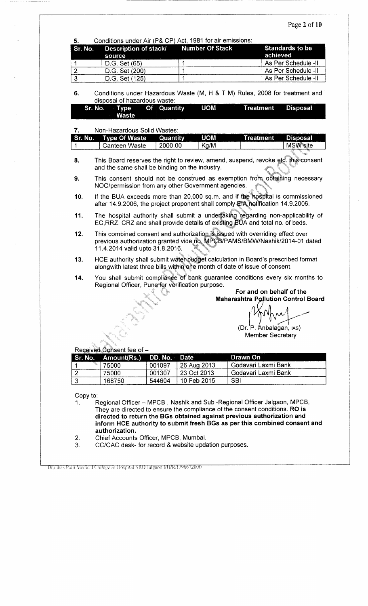# Page 2 of 10

| Description of stack/<br>Sr. No.<br>source<br>D.G. Set (65)<br>D.G. Set (200)<br>D.G. Set (125)<br>disposal of hazardous waste:<br>Type<br>Sr. No.          |                             | <b>Number Of Stack</b><br>1<br>1<br>1 | <b>Standards to be</b><br>achieved<br>As Per Schedule -II                                                                                                                                                                                                                                                                                                                                                                                                                                                                                                                                                                                                                                                                                                                                                                                                                                                                                                                                                                             |  |
|-------------------------------------------------------------------------------------------------------------------------------------------------------------|-----------------------------|---------------------------------------|---------------------------------------------------------------------------------------------------------------------------------------------------------------------------------------------------------------------------------------------------------------------------------------------------------------------------------------------------------------------------------------------------------------------------------------------------------------------------------------------------------------------------------------------------------------------------------------------------------------------------------------------------------------------------------------------------------------------------------------------------------------------------------------------------------------------------------------------------------------------------------------------------------------------------------------------------------------------------------------------------------------------------------------|--|
|                                                                                                                                                             |                             |                                       |                                                                                                                                                                                                                                                                                                                                                                                                                                                                                                                                                                                                                                                                                                                                                                                                                                                                                                                                                                                                                                       |  |
|                                                                                                                                                             |                             |                                       |                                                                                                                                                                                                                                                                                                                                                                                                                                                                                                                                                                                                                                                                                                                                                                                                                                                                                                                                                                                                                                       |  |
|                                                                                                                                                             |                             |                                       | As Per Schedule -II                                                                                                                                                                                                                                                                                                                                                                                                                                                                                                                                                                                                                                                                                                                                                                                                                                                                                                                                                                                                                   |  |
|                                                                                                                                                             |                             |                                       | As Per Schedule -II                                                                                                                                                                                                                                                                                                                                                                                                                                                                                                                                                                                                                                                                                                                                                                                                                                                                                                                                                                                                                   |  |
|                                                                                                                                                             |                             |                                       | Conditions under Hazardous Waste (M, H & T M) Rules, 2008 for treatment and                                                                                                                                                                                                                                                                                                                                                                                                                                                                                                                                                                                                                                                                                                                                                                                                                                                                                                                                                           |  |
| <b>Waste</b>                                                                                                                                                | Quantity<br>Of <sub>1</sub> | <b>UOM</b>                            | <b>Treatment</b><br><b>Disposal</b>                                                                                                                                                                                                                                                                                                                                                                                                                                                                                                                                                                                                                                                                                                                                                                                                                                                                                                                                                                                                   |  |
|                                                                                                                                                             |                             |                                       |                                                                                                                                                                                                                                                                                                                                                                                                                                                                                                                                                                                                                                                                                                                                                                                                                                                                                                                                                                                                                                       |  |
|                                                                                                                                                             |                             |                                       | <b>Treatment</b><br>Disposal<br><b>MSW</b> site                                                                                                                                                                                                                                                                                                                                                                                                                                                                                                                                                                                                                                                                                                                                                                                                                                                                                                                                                                                       |  |
|                                                                                                                                                             |                             |                                       |                                                                                                                                                                                                                                                                                                                                                                                                                                                                                                                                                                                                                                                                                                                                                                                                                                                                                                                                                                                                                                       |  |
|                                                                                                                                                             |                             |                                       |                                                                                                                                                                                                                                                                                                                                                                                                                                                                                                                                                                                                                                                                                                                                                                                                                                                                                                                                                                                                                                       |  |
|                                                                                                                                                             |                             |                                       |                                                                                                                                                                                                                                                                                                                                                                                                                                                                                                                                                                                                                                                                                                                                                                                                                                                                                                                                                                                                                                       |  |
|                                                                                                                                                             |                             |                                       |                                                                                                                                                                                                                                                                                                                                                                                                                                                                                                                                                                                                                                                                                                                                                                                                                                                                                                                                                                                                                                       |  |
|                                                                                                                                                             |                             |                                       |                                                                                                                                                                                                                                                                                                                                                                                                                                                                                                                                                                                                                                                                                                                                                                                                                                                                                                                                                                                                                                       |  |
| This combined consent and authorization is issued with overriding effect over<br>previous authorization granted vide no. MPCB/PAMS/BMW/Nashik/2014-01 dated |                             |                                       |                                                                                                                                                                                                                                                                                                                                                                                                                                                                                                                                                                                                                                                                                                                                                                                                                                                                                                                                                                                                                                       |  |
|                                                                                                                                                             |                             |                                       |                                                                                                                                                                                                                                                                                                                                                                                                                                                                                                                                                                                                                                                                                                                                                                                                                                                                                                                                                                                                                                       |  |
|                                                                                                                                                             |                             |                                       |                                                                                                                                                                                                                                                                                                                                                                                                                                                                                                                                                                                                                                                                                                                                                                                                                                                                                                                                                                                                                                       |  |
|                                                                                                                                                             |                             |                                       | For and on behalf of the<br><b>Maharashtra Pollution Control Board</b>                                                                                                                                                                                                                                                                                                                                                                                                                                                                                                                                                                                                                                                                                                                                                                                                                                                                                                                                                                |  |
|                                                                                                                                                             |                             |                                       | (Dr. P. Anbalagan, IAS)                                                                                                                                                                                                                                                                                                                                                                                                                                                                                                                                                                                                                                                                                                                                                                                                                                                                                                                                                                                                               |  |
|                                                                                                                                                             |                             |                                       | <b>Member Secretary</b>                                                                                                                                                                                                                                                                                                                                                                                                                                                                                                                                                                                                                                                                                                                                                                                                                                                                                                                                                                                                               |  |
|                                                                                                                                                             |                             |                                       |                                                                                                                                                                                                                                                                                                                                                                                                                                                                                                                                                                                                                                                                                                                                                                                                                                                                                                                                                                                                                                       |  |
| Received Consent fee of -                                                                                                                                   |                             | <b>Date</b>                           | Drawn On<br>Godavari Laxmi Bank                                                                                                                                                                                                                                                                                                                                                                                                                                                                                                                                                                                                                                                                                                                                                                                                                                                                                                                                                                                                       |  |
| Sr. No.<br>Amount(Rs.)                                                                                                                                      | DD. No.                     |                                       |                                                                                                                                                                                                                                                                                                                                                                                                                                                                                                                                                                                                                                                                                                                                                                                                                                                                                                                                                                                                                                       |  |
| 75000<br>75000                                                                                                                                              | 001097<br>001307            | 26 Aug 2013<br>23 Oct 2013            | Godavari Laxmi Bank                                                                                                                                                                                                                                                                                                                                                                                                                                                                                                                                                                                                                                                                                                                                                                                                                                                                                                                                                                                                                   |  |
|                                                                                                                                                             | Sr. No.                     | <b>Type Of Waste</b><br>Canteen Waste | Non-Hazardous Solid Wastes:<br><b>UOM</b><br>Quantity<br>2000.00<br>Kg/M<br>This Board reserves the right to review, amend, suspend, revoke etc. this consent<br>and the same shall be binding on the industry.<br>This consent should not be construed as exemption from obtaining necessary<br>NOC/permission from any other Government agencies.<br>If the BUA exceeds more than 20,000 sq.m. and if the hospital is commissioned<br>after 14.9.2006, the project proponent shall comply EtA notification 14.9.2006.<br>The hospital authority shall submit a underfaking regarding non-applicability of<br>EC, RRZ, CRZ and shall provide details of existing BUA and total no. of beds.<br>11.4.2014 valid upto 31.8.2016.<br>HCE authority shall submit water budget calculation in Board's prescribed format<br>alongwith latest three bills within one month of date of issue of consent.<br>You shall submit compliance of bank guarantee conditions every six months to<br>Regional Officer, Pune for verification purpose. |  |

Dr.ulhas Patil Medical College & Hospital SRO Jalgaon 1/H/R/L/96672000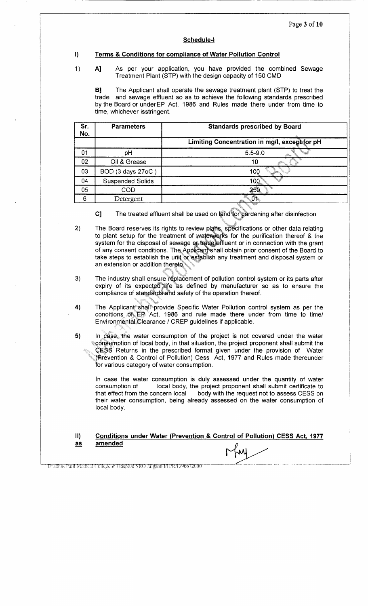#### **Schedule-l**

#### **I) Terms & Conditions for compliance of Water Pollution Control**

1) **A]** As per your application, you have provided the combined Sewage Treatment Plant (STP) with the design capacity of 150 CMD

B] The Applicant shall operate the sewage treatment plant (STP) to treat the trade and sewage effluent so as to achieve the following standards prescribed by the Board or underEP Act, 1986 and Rules made there under from time to time, whichever isstringent.

| Sr.<br>No. | <b>Parameters</b>       | <b>Standards prescribed by Board</b>          |  |  |  |
|------------|-------------------------|-----------------------------------------------|--|--|--|
|            |                         | Limiting Concentration in mg/l, except for pH |  |  |  |
| 01         | рH                      | $5.5 - 9.0$                                   |  |  |  |
| 02         | Oil & Grease            | 10                                            |  |  |  |
| 03         | BOD (3 days 27oC)       | 100                                           |  |  |  |
| 04         | <b>Suspended Solids</b> | 100                                           |  |  |  |
| 05         | <b>COD</b>              | ′∛5ั⊳                                         |  |  |  |
| 6          | Detergent               |                                               |  |  |  |

C] The treated effluent shall be used on land for gardening after disinfection

- 2) The Board reserves its rights to review plans, specifications or other data relating to plant setup for the treatment of waterworks for the purification thereof & the system for the disposal of sewage of trade effluent or in connection with the grant of any consent conditions. The Applicant shall obtain prior consent of the Board to take steps to establish the unit or establish any treatment and disposal system or an extension or addition thereto.
- 3) The industry shall ensure replacement of pollution control system or its parts after expiry of its expected life as defined by manufacturer so as to ensure the compliance of standards and safety of the operation thereof.
- 4) The Applicant shall provide Specific Water Pollution control system as per the conditions of EP Act, 1986 and rule made there under from time to time/ Environmental Clearance / CREP guidelines if applicable.
- 5) In case, the water consumption of the project is not covered under the water consumption of local body, in that situation, the project proponent shall submit the CESS Returns in the prescribed format given under the provision of Water (Prevention & Control of Pollution) Cess Act, 1977 and Rules made thereunder for various category of water consumption.

In case the water consumption is duly assessed under the quantity of water consumption of local body, the project proponent shall submit certificate to that effect from the concern local body with the request not to assess CESS on their water consumption, being already assessed on the water consumption of local body.

#### **II) as Conditions under Water (Prevention & Control of Pollution) CESS Act. 1977 amended**

Drailhas Patil Medical College & Hospital SRO Jalgaon I/H/R/L/96672000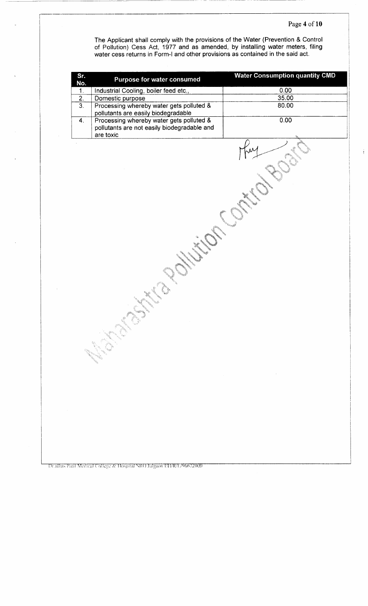$\frac{1}{2}$ 

The Applicant shall comply with the provisions of the Water (Prevention & Control of Pollution) Cess Act, 1977 and as amended, by installing water meters, filing water cess returns in Form-l and other provisions as contained in the said act.

| Sr.<br>Purpose for water consumed<br>No.                     | <b>Water Consumption quantity CMD</b> |
|--------------------------------------------------------------|---------------------------------------|
| Industrial Cooling, boiler feed etc.,<br>$\mathbf{1}$ .      | 0.00                                  |
| $\overline{2}$ .<br>Domestic purpose                         | 35.00                                 |
| $\overline{3}$ .<br>Processing whereby water gets polluted & | 80.00                                 |
| pollutants are easily biodegradable                          |                                       |
| Processing whereby water gets polluted &<br>$\overline{4}$ . | 0.00                                  |
| pollutants are not easily biodegradable and<br>are toxic     |                                       |
| X,<br>$\omega_{\phi_{\tilde{Q}_{\tilde{Q}}}}$<br>nga         | $\sim$ $\sim$<br>$\sim$               |

Drialhas Patil Medical College & Hospital SRO Jalgaon LH/R/L/96672000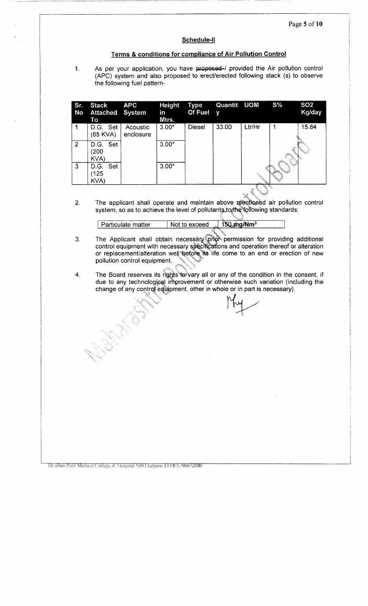#### **Schedule-ll**

### **Terms & conditions for compliance of Air Pollution Control**

1.

As per your application, you have proposed-/ provided the Air pollution control (ARC) system and also proposed to erect/erected following stack (s) to observe the following fuel pattern-

| Sr.<br>No | <b>Stack</b><br><b>Attached System</b><br>To | <b>APC</b>            | Height<br>in<br>$\epsilon$<br>Mtrs. | Type<br>Of Fuel $y$ | Quantit UOM |                                | $S\%$                                                                                                                                                                                                                                        | SO <sub>2</sub><br>Kg/day |
|-----------|----------------------------------------------|-----------------------|-------------------------------------|---------------------|-------------|--------------------------------|----------------------------------------------------------------------------------------------------------------------------------------------------------------------------------------------------------------------------------------------|---------------------------|
|           | D.G. Set<br>(65 KVA)                         | Acoustic<br>enclosure | $3.00*$                             | <b>Diesel</b>       | 33.00       | Ltr/Hr                         |                                                                                                                                                                                                                                              | 15.84                     |
| 2         | D.G. Set<br>(200)<br>KVA)                    |                       | $3.00*$                             |                     |             |                                |                                                                                                                                                                                                                                              |                           |
| 3         | Set<br>D.G.<br>125<br>KVA)                   |                       | $3.00*$                             |                     |             | i de Santonio<br>Internacional | en de la companya de la companya de la companya de la companya de la companya de la companya de la companya de<br>Desertiere de la companya de la companya de la companya de la companya de la companya de la companya de la com<br>en de la |                           |

 $2.$ The applicant shall operate and maintain above mentioned air pollution control system, so as to achieve the level of pollutants to the following standards:

| . Particulate matter | Not to exceed<br>ettiä | $150$ mg/Nm <sup>3</sup> |
|----------------------|------------------------|--------------------------|
|                      |                        |                          |

- 3. The Applicant shall obtain necessary prior permission for providing additional control equipment with necessary specifications and operation thereof or alteration or replacement/alteration well before its life come to an end or erection of new pollution control equipment.
- The Board reserves its rights to vary all or any of the condition in the consent, if 4. due to any technological improvement or otherwise such variation (including the change of any control equipment, other in whole or in part is necessary).

Dr.ulhas Patil Medical College & Hospital SRO Jalgaon FH/R/L/96672000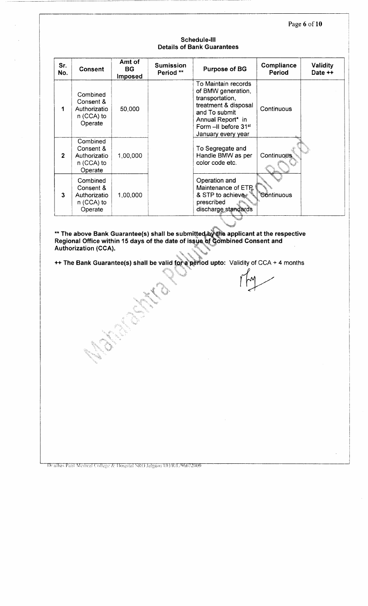Page 6 of 10

### **Schedule-Ill Details of Bank Guarantees**

| Sr.<br>No.   | <b>Consent</b>                                                   | Amt of<br>BG.<br><b>Imposed</b> | <b>Sumission</b><br>Period ** | <b>Purpose of BG</b>                                                                                                                                                                 | Compliance<br>Period | <b>Validity</b><br>Date ++ |
|--------------|------------------------------------------------------------------|---------------------------------|-------------------------------|--------------------------------------------------------------------------------------------------------------------------------------------------------------------------------------|----------------------|----------------------------|
| 1            | Combined<br>Consent &<br>Authorizatio<br>n (CCA) to<br>Operate   | 50,000                          |                               | To Maintain records<br>of BMW generation,<br>transportation,<br>treatment & disposal<br>and To submit<br>Annual Report* in<br>Form -II before 31 <sup>st</sup><br>January every year | Continuous           |                            |
| $\mathbf{2}$ | Combined<br>Consent &<br>Authorizatio<br>$n$ (CCA) to<br>Operate | 1,00,000                        |                               | To Segregate and<br>Handle BMW as per<br>color code etc.                                                                                                                             | <b>Continuous</b>    |                            |
| 3            | Combined<br>Consent &<br>Authorizatio<br>$n$ (CCA) to<br>Operate | 1,00,000                        |                               | Operation and<br>Maintenance of ETP<br>& STP to achieve<br>prescribed<br>discharge standards                                                                                         | ็®ontinuous          |                            |

**\*\* The above Bank Guarantee(s) shall be submitted by the applicant at the respective Regional Office within 15 days of the date of issue of Combined Consent and Authorization (CCA).**

**++ The Bank Guarantee(s) shall be valid for a period upto:** Validity of CCA + 4 months

Drailhas Patil Medical College & Hospital SRO Jalgaon FH/R/L/96672000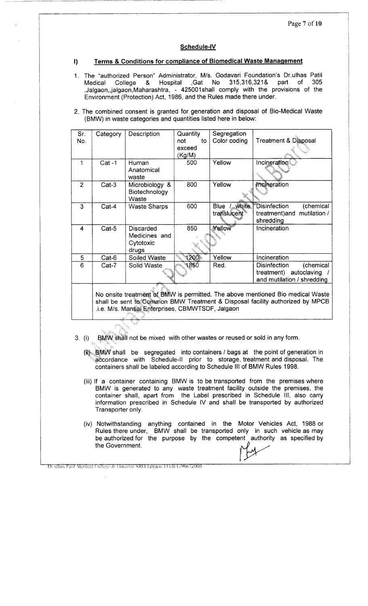### **Schedule-IV**

#### **I) Terms & Conditions for compliance of Biomedical Waste Management**

- 1. The "authorized Person" Administrator, M/s. Godavari Foundation's Dr.ulhas Patil Medical College & Hospital ,Gat No 315.316.321& part of 305 ,Jalgaon,jalgaon,Maharashtra, - 425001shall comply with the provisions of the Environment (Protection) Act, 1986, and the Rules made there under.
- 2. The combined consent is granted for generation and disposal of Bio-Medical Waste (BMW) in waste categories and quantities listed here in below:

| Sr.<br>No. | Category | Description                                      | Quantity<br>not<br>to<br>exceed<br>(Kg/M) | Segregation<br>Color coding                                    | <b>Treatment &amp; Disposal</b>                                                             |
|------------|----------|--------------------------------------------------|-------------------------------------------|----------------------------------------------------------------|---------------------------------------------------------------------------------------------|
| 1          | $Cat -1$ | Human<br>Anatomical<br>waste                     | 500                                       | Yellow                                                         | Incineration  ั                                                                             |
| 2          | $Cat-3$  | Microbiology &<br>Biotechnology<br>Waste         | 800                                       | Yellow                                                         | <i><b>Incineration</b></i>                                                                  |
| 3          | Cat-4    | <b>Waste Sharps</b>                              | 600                                       | <b><i><u>white</u></i></b><br>Blue<br>translucent <sup>®</sup> | Disinfection<br>(chemical<br>mutilation /<br>treatment) and<br>shredding                    |
| 4          | $Cat-5$  | Discarded<br>Medicines and<br>Cytotoxic<br>drugs | 850                                       | Yellow                                                         | Incineration                                                                                |
| 5          | $Cat-6$  | Soiled Waste                                     | 2001.                                     | Yellow                                                         | Incineration                                                                                |
| 6          | $Cat-7$  | Solid Waste                                      | 850                                       | Red.                                                           | <b>Disinfection</b><br>(chemical<br>autoclaving<br>treatment)<br>and mutilation / shredding |

No onsite treatment of BMW is permitted. The above mentioned Bio medical Waste shall be sent to Common BMW Treatment & Disposal facility authorized by MPCB .i.e. M/s. Mansai Enterprises, CBMWTSDF, Jalgaon

- (i) BMW shall not be mixed with other wastes or reused or sold in any form.
	- (it) BMW shall be segregated into containers / bags at the point of generation in accordance with Schedule-ll prior to storage, treatment and disposal. The containers shall be labeled according to Schedule III of BMW Rules 1998.
	- (iii) If a container containing BMW is to be transported from the premises where BMW is generated to any waste treatment facility outside the premises, the container shall, apart from the Label prescribed in Schedule III, also carry information prescribed in Schedule IV and shall be transported by authorized Transporter only.
	- (iv) Notwithstanding anything contained in the Motor Vehicles Act, 1988 or Rules there under, BMW shall be transported only in such vehicle as may be authorized for the purpose by the competent authority as specified by the Government.

Drailhas Paril Medical College & Hospital SRO Jalgaon FH/R/L/96672000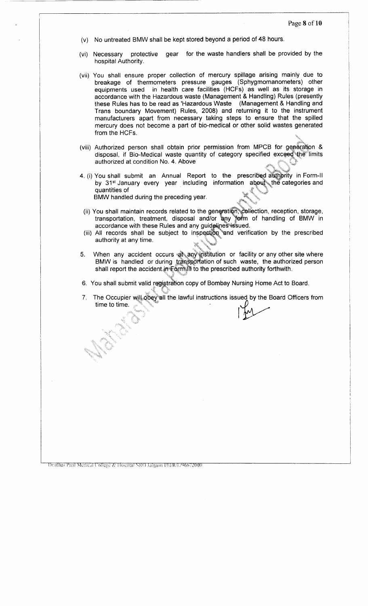- (v) No untreated BMW shall be kept stored beyond a period of 48 hours.
- (vi) Necessary protective gear for the waste handlers shall be provided by the hospital Authority.
- (vii) You shall ensure proper collection of mercury spillage arising mainly due to breakage of thermometers pressure gauges (Sphygmomanometers) other equipments used in health care facilities (HCFs) as well as its storage in accordance with the Hazardous waste (Management & Handling) Rules (presently these Rules has to be read as 'Hazardous Waste (Management & Handling and Trans boundary Movement) Rules, 2008) and returning it to the instrument manufacturers apart from necessary taking steps to ensure that the spilled mercury does not become a part of bio-medical or other solid wastes generated from the HCFs.
- (viii) Authorized person shall obtain prior permission from MPCB for generation & disposal, if Bio-Medical waste quantity of category specified exceed the limits authorized at condition No. 4. Above
- 4. (i) You shall submit an Annual Report to the prescribed authority in Form-II by 31<sup>st</sup> January every year including information about the categories and quantities of BMW handled during the preceding year.
	- (ii) You shall maintain records related to the generation, collection, reception, storage, transportation, treatment, disposal and/or any form of handling of BMW in accordance with these Rules and any guidelines-issued.
	- (iii) All records shall be subject to inspection and verification by the prescribed authority at any time.
- 5. When any accident occurs at any institution or facility or any other site where BMW is handled or during transportation of such waste, the authorized person shall report the accident in Form III to the prescribed authority forthwith.
- 6. You shall submit valid registration copy of Bombay Nursing Home Act to Board.
- 7. The Occupier will obey all the lawful instructions issued by the Board Officers from time to time.

Drailhas Patil Medical College & Hospital SRO Jalgaon FH/R/L/96672000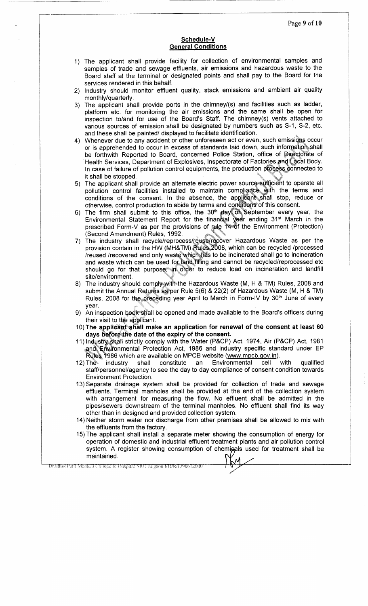### **Schedule-V General Conditions**

- 1) The applicant shall provide facility for collection of environmental samples and samples of trade and sewage effluents, air emissions and hazardous waste to the Board staff at the terminal or designated points and shall pay to the Board for the services rendered in this behalf.
- 2) Industry should monitor effluent quality, stack emissions and ambient air quality monthly/quarterly.
- 3) The applicant shall provide ports in the chimney/(s) and facilities such as ladder, platform etc. for monitoring the air emissions and the same shall be open for inspection to/and for use of the Board's Staff. The chimney(s) vents attached to various sources of emission shall be designated by numbers such as S-1, S-2, etc. and these shall be painted/ displayed to facilitate identification.
- 4) Whenever due to any accident or other unforeseen act or even, such emissions occur or is apprehended to occur in excess of standards laid down, such information shall be forthwith Reported to Board, concerned Police Station, office of Directorate of Health Services, Department of Explosives, Inspectorate of Factories and Local Body. In case of failure of pollution control equipments, the production process connected to it shall be stopped.
- 5) The applicant shall provide an alternate electric power source sufficient to operate all pollution control facilities installed to maintain compliance with the terms and conditions of the consent. In the absence, the applicant shall stop, reduce or otherwise, control production to abide by terms and conditions of this consent.
- 6) The firm shall submit to this office, the  $30<sup>th</sup>$  day  $\overline{OR}$  September every year, the Environmental Statement Report for the financial year ending 31<sup>st</sup> March in the prescribed Form-V as per the provisions of rule 1466f the Environment (Protection) (Second Amendment) Rules, 1992.
- 7) The industry shall recycle/reprocess/reuse/recover Hazardous Waste as per the provision contain in the HW (MH&TM) Rules 2008, which can be recycled /processed /reused /recovered and only waste which-has to be incinerated shall go to incineration and waste which can be used for land filling and cannot be recycled/reprocessed etc should go for that purpose, in order to reduce load on incineration and landfill site/environment.
- 8) The industry should comply-with the Hazardous Waste (M, H & TM) Rules, 2008 and submit the Annual Returns as per Rule  $5(6)$  & 22(2) of Hazardous Waste (M, H & TM) Rules, 2008 for the preceding year April to March in Form-IV by 30<sup>th</sup> June of every year.
- 9) An inspection book shall be opened and made available to the Board's officers during their visit to the applicant.
- 10) The **applicant shall make an application for renewal of the consent at least 60 days before the date of the expiry of the consent.**
- 11) Industry,.shall strictly comply with the Water (P&CP) Act, 1974, Air (P&CP) Act, 1981 and Enuronmental Protection Act, 1986 and industry specific standard under EP Rules 1986 which are available on MPCB website (www.mpcb.gov.in).
- 12) The industry shall constitute an Environmental cell with qualified staff/personnel/agency to see the day to day compliance of consent condition towards Environment Protection.
- 13) Separate drainage system shall be provided for collection of trade and sewage effluents. Terminal manholes shall be provided at the end of the collection system with arrangement for measuring the flow. No effluent shall be admitted in the pipes/sewers downstream of the terminal manholes. No effluent shall find its way other than in designed and provided collection system.
- 14) Neither storm water nor discharge from other premises shall be allowed to mix with the effluents from the factory.
- 15) The applicant shall install a separate meter showing the consumption of energy for operation of domestic and industrial effluent treatment plants and air pollution control system. A register showing consumption of chemicals used for treatment shall be maintained.

Drailhas Patil Medical College & Hospital SRO Jalgaon (/H/R/L/96672000)